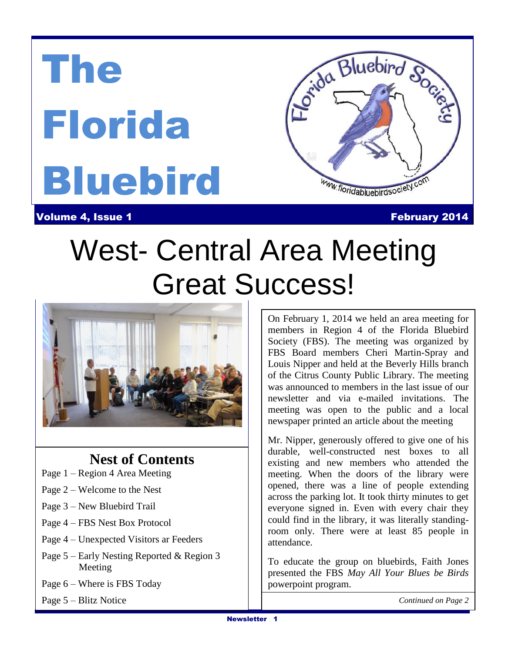# The Florida Bluebird



**Volume 4, Issue 1 February 2014** 

### West- Cer  $\overline{\phantom{a}}$ And Conservation of Bluebirds in West- Central Area Meeting Great Success!



### **Nest of Contents**

- Page 1 Region 4 Area Meeting
- Page 2 Welcome to the Nest
- Page 3 New Bluebird Trail
- Page 4 FBS Nest Box Protocol
- Page 4 Unexpected Visitors ar Feeders
- Page 5 Early Nesting Reported & Region 3 Meeting
- Page 6 Where is FBS Today
- Page 5 Blitz Notice

On February 1, 2014 we held an area meeting for members in Region 4 of the Florida Bluebird Society (FBS). The meeting was organized by FBS Board members Cheri Martin-Spray and Louis Nipper and held at the Beverly Hills branch of the Citrus County Public Library. The meeting was announced to members in the last issue of our newsletter and via e-mailed invitations. The meeting was open to the public and a local newspaper printed an article about the meeting

Mr. Nipper, generously offered to give one of his durable, well-constructed nest boxes to all existing and new members who attended the meeting. When the doors of the library were opened, there was a line of people extending across the parking lot. It took thirty minutes to get everyone signed in. Even with every chair they could find in the library, it was literally standingroom only. There were at least 85 people in attendance.

To educate the group on bluebirds, Faith Jones presented the FBS *May All Your Blues be Birds* powerpoint program.

*Continued on Page 2*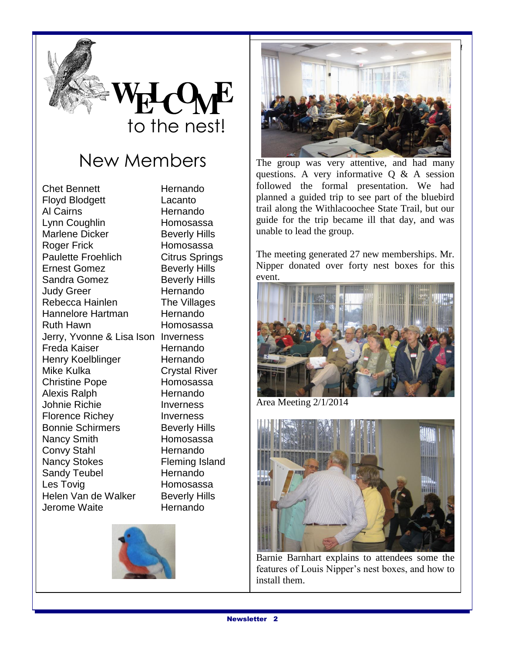

# New Members

Chet Bennett Hernando Floyd Blodgett Lacanto Al Cairns **Hernando** Lynn Coughlin Homosassa Marlene Dicker Beverly Hills Roger Frick Homosassa Paulette Froehlich Citrus Springs Ernest Gomez Beverly Hills Sandra Gomez Beverly Hills Judy Greer **Hernando** Rebecca Hainlen The Villages Hannelore Hartman Hernando Ruth Hawn **Homosassa** Jerry, Yvonne & Lisa Ison Inverness Freda Kaiser **Hernando** Henry Koelblinger Hernando Mike Kulka **Crystal River** Christine Pope Homosassa Alexis Ralph Hernando Johnie Richie Inverness Florence Richey **Inverness** Bonnie Schirmers Beverly Hills Nancy Smith Homosassa Convy Stahl Hernando Nancy Stokes Fleming Island Sandy Teubel **Hernando** Les Tovig **Homosassa** Helen Van de Walker Beverly Hills Jerome Waite Hernando





The group was very attentive, and had many questions. A very informative Q & A session followed the formal presentation. We had planned a guided trip to see part of the bluebird trail along the Withlacoochee State Trail, but our guide for the trip became ill that day, and was unable to lead the group.

The meeting generated 27 new memberships. Mr. Nipper donated over forty nest boxes for this event.



Area Meeting 2/1/2014

**New Bluebird** 



Barnie Barnhart explains to attendees some the features of Louis Nipper's nest boxes, and how to install them.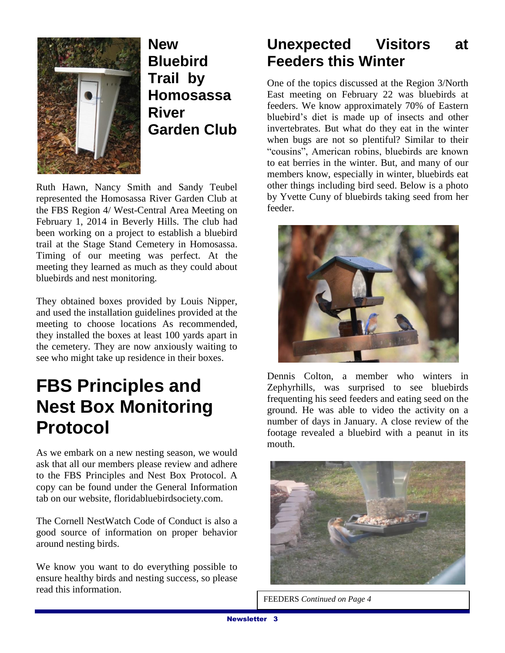

**New Bluebird Trail by Homosassa River Garden Club**

Ruth Hawn, Nancy Smith and Sandy Teubel represented the Homosassa River Garden Club at the FBS Region 4/ West-Central Area Meeting on February 1, 2014 in Beverly Hills. The club had been working on a project to establish a bluebird trail at the Stage Stand Cemetery in Homosassa. Timing of our meeting was perfect. At the meeting they learned as much as they could about bluebirds and nest monitoring.

They obtained boxes provided by Louis Nipper, and used the installation guidelines provided at the meeting to choose locations As recommended, they installed the boxes at least 100 yards apart in the cemetery. They are now anxiously waiting to see who might take up residence in their boxes.

# **FBS Principles and Nest Box Monitoring Protocol**

As we embark on a new nesting season, we would ask that all our members please review and adhere to the FBS Principles and Nest Box Protocol. A copy can be found under the General Information tab on our website, floridabluebirdsociety.com.

The Cornell NestWatch Code of Conduct is also a good source of information on proper behavior around nesting birds.

We know you want to do everything possible to ensure healthy birds and nesting success, so please read this information.

### **Unexpected Visitors at Feeders this Winter**

One of the topics discussed at the Region 3/North East meeting on February 22 was bluebirds at feeders. We know approximately 70% of Eastern bluebird's diet is made up of insects and other invertebrates. But what do they eat in the winter when bugs are not so plentiful? Similar to their "cousins", American robins, bluebirds are known to eat berries in the winter. But, and many of our members know, especially in winter, bluebirds eat other things including bird seed. Below is a photo by Yvette Cuny of bluebirds taking seed from her feeder.



Dennis Colton, a member who winters in Zephyrhills, was surprised to see bluebirds frequenting his seed feeders and eating seed on the ground. He was able to video the activity on a number of days in January. A close review of the footage revealed a bluebird with a peanut in its mouth.



FEEDERS *Continued on Page 4*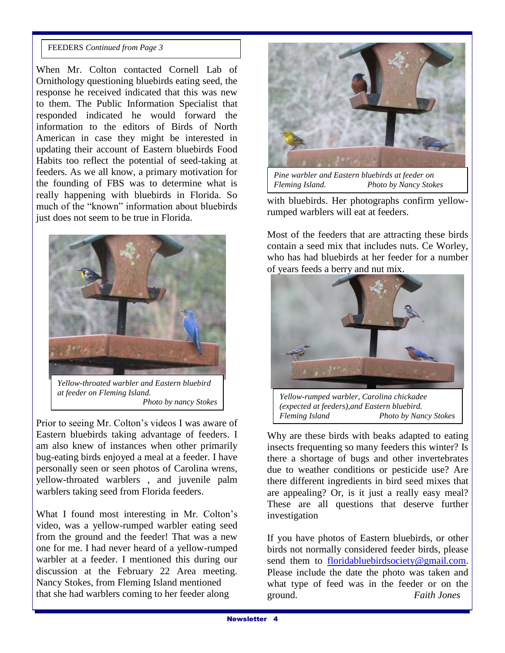#### FEEDERS *Continued from Page 3*

When Mr. Colton contacted Cornell Lab of Ornithology questioning bluebirds eating seed, the response he received indicated that this was new to them. The Public Information Specialist that responded indicated he would forward the information to the editors of Birds of North American in case they might be interested in updating their account of Eastern bluebirds Food Habits too reflect the potential of seed-taking at feeders. As we all know, a primary motivation for the founding of FBS was to determine what is really happening with bluebirds in Florida. So much of the "known" information about bluebirds just does not seem to be true in Florida.



*Yellow-throated warbler and Eastern bluebird at feeder on Fleming Island. Photo by nancy Stokes*

Prior to seeing Mr. Colton's videos I was aware of Eastern bluebirds taking advantage of feeders. I am also knew of instances when other primarily bug-eating birds enjoyed a meal at a feeder. I have personally seen or seen photos of Carolina wrens, yellow-throated warblers , and juvenile palm warblers taking seed from Florida feeders.

What I found most interesting in Mr. Colton's video, was a yellow-rumped warbler eating seed from the ground and the feeder! That was a new one for me. I had never heard of a yellow-rumped warbler at a feeder. I mentioned this during our discussion at the February 22 Area meeting. Nancy Stokes, from Fleming Island mentioned that she had warblers coming to her feeder along



*Pine warbler and Eastern bluebirds at feeder on Fleming Island. Photo by Nancy Stokes*

with bluebirds. Her photographs confirm yellowrumped warblers will eat at feeders.

Most of the feeders that are attracting these birds contain a seed mix that includes nuts. Ce Worley, who has had bluebirds at her feeder for a number of years feeds a berry and nut mix.



*Yellow-rumped warbler, Carolina chickadee (expected at feeders),and Eastern bluebird. Fleming Island Photo by Nancy Stokes*

Why are these birds with beaks adapted to eating insects frequenting so many feeders this winter? Is there a shortage of bugs and other invertebrates due to weather conditions or pesticide use? Are there different ingredients in bird seed mixes that are appealing? Or, is it just a really easy meal? These are all questions that deserve further investigation

If you have photos of Eastern bluebirds, or other birds not normally considered feeder birds, please send them to [floridabluebirdsociety@gmail.com.](mailto:floridabluebirdsociety@gmail.com) Please include the date the photo was taken and what type of feed was in the feeder or on the ground. *Faith Jones*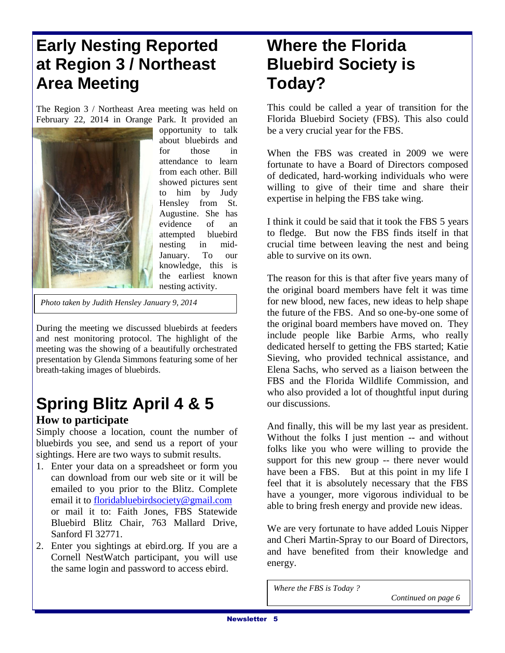## **Early Nesting Reported at Region 3 / Northeast Area Meeting**

The Region 3 / Northeast Area meeting was held on February 22, 2014 in Orange Park. It provided an



opportunity to talk about bluebirds and for those in attendance to learn from each other. Bill showed pictures sent to him by Judy Hensley from St. Augustine. She has evidence of an attempted bluebird nesting in mid-January. To our knowledge, this is the earliest known nesting activity.

*Photo taken by Judith Hensley January 9, 2014*

During the meeting we discussed bluebirds at feeders and nest monitoring protocol. The highlight of the meeting was the showing of a beautifully orchestrated presentation by Glenda Simmons featuring some of her breath-taking images of bluebirds.

### **Spring Blitz April 4 & 5 How to participate**

Simply choose a location, count the number of bluebirds you see, and send us a report of your sightings. Here are two ways to submit results.

- 1. Enter your data on a spreadsheet or form you can download from our web site or it will be emailed to you prior to the Blitz. Complete email it to [floridabluebirdsociety@gmail.com](mailto:floridabluebirdsociety@gmail.com) or mail it to: Faith Jones, FBS Statewide Bluebird Blitz Chair, 763 Mallard Drive, Sanford Fl 32771.
- 2. Enter you sightings at ebird.org. If you are a Cornell NestWatch participant, you will use the same login and password to access ebird.

### **Where the Florida Bluebird Society is Today?**

This could be called a year of transition for the Florida Bluebird Society (FBS). This also could be a very crucial year for the FBS.

When the FBS was created in 2009 we were fortunate to have a Board of Directors composed of dedicated, hard-working individuals who were willing to give of their time and share their expertise in helping the FBS take wing.

I think it could be said that it took the FBS 5 years to fledge. But now the FBS finds itself in that crucial time between leaving the nest and being able to survive on its own.

The reason for this is that after five years many of the original board members have felt it was time for new blood, new faces, new ideas to help shape the future of the FBS. And so one-by-one some of the original board members have moved on. They include people like Barbie Arms, who really dedicated herself to getting the FBS started; Katie Sieving, who provided technical assistance, and Elena Sachs, who served as a liaison between the FBS and the Florida Wildlife Commission, and who also provided a lot of thoughtful input during our discussions.

And finally, this will be my last year as president. Without the folks I just mention -- and without folks like you who were willing to provide the support for this new group -- there never would have been a FBS. But at this point in my life I feel that it is absolutely necessary that the FBS have a younger, more vigorous individual to be able to bring fresh energy and provide new ideas.

We are very fortunate to have added Louis Nipper and Cheri Martin-Spray to our Board of Directors, and have benefited from their knowledge and energy.

*Where the FBS is Today ?*

 *Continued on page 6*